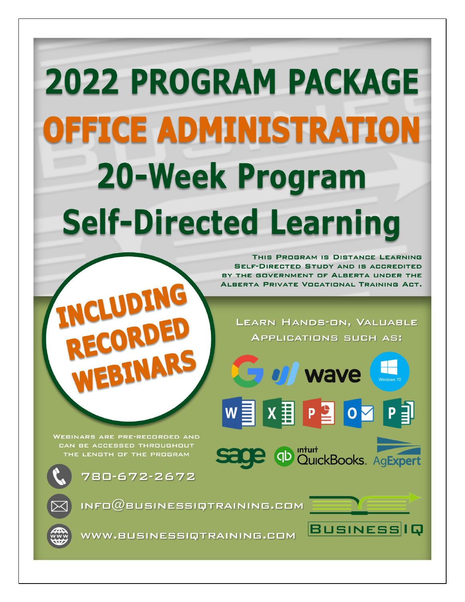# **2022 PROGRAM PACKAGE OFFICE ADMINISTRATION 20-Week Program Self-Directed Learning**

THIS PROGRAM IS DISTANCE LEARNING **SELF-DIRECTED STUDY AND IS ACCREDITED** BY THE GOVERNMENT OF ALBERTA UNDER THE ALBERTA PRIVATE VOCATIONAL TRAINING ACT.

LEARN HANDS-ON, VALUABLE **APPLICATIONS SUCH AS:** 

P<sup>2</sup>04

qD mturt<br>QuickBooks. AgExpert

**BUSINESSIQ** 

**Gull** wave

**WEBINARS ARE PRE-RECORDED AND** CAN BE ACCESSED THROUGHOUT THE LENGTH OF THE PROGRAM

780-672-2672

UDING

 $INFO@BUSINESSIQTRAINING. GOM$ 

WWW.BUSINESSIQTRAINING.COM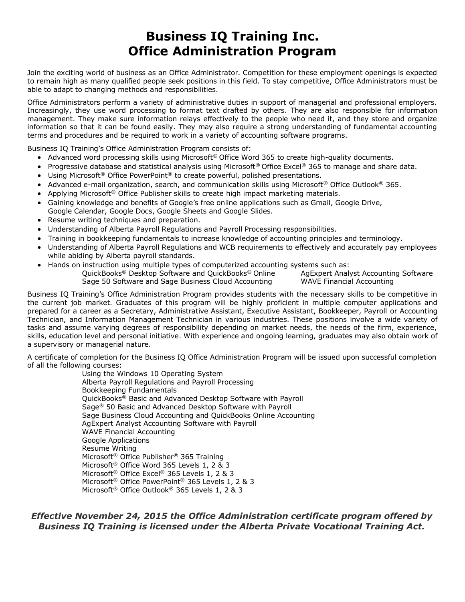## **Business IQ Training Inc. Office Administration Program**

Join the exciting world of business as an Office Administrator. Competition for these employment openings is expected to remain high as many qualified people seek positions in this field. To stay competitive, Office Administrators must be able to adapt to changing methods and responsibilities.

Office Administrators perform a variety of administrative duties in support of managerial and professional employers. Increasingly, they use word processing to format text drafted by others. They are also responsible for information management. They make sure information relays effectively to the people who need it, and they store and organize information so that it can be found easily. They may also require a strong understanding of fundamental accounting terms and procedures and be required to work in a variety of accounting software programs.

Business IQ Training's Office Administration Program consists of:

- Advanced word processing skills using Microsoft® Office Word 365 to create high-quality documents.
- Progressive database and statistical analysis using Microsoft® Office Excel® 365 to manage and share data.
- Using Microsoft<sup>®</sup> Office PowerPoint<sup>®</sup> to create powerful, polished presentations.
- Advanced e-mail organization, search, and communication skills using Microsoft<sup>®</sup> Office Outlook<sup>®</sup> 365.
- Applying Microsoft<sup>®</sup> Office Publisher skills to create high impact marketing materials.
- Gaining knowledge and benefits of Google's free online applications such as Gmail, Google Drive, Google Calendar, Google Docs, Google Sheets and Google Slides.
- Resume writing techniques and preparation.
- Understanding of Alberta Payroll Regulations and Payroll Processing responsibilities.
- Training in bookkeeping fundamentals to increase knowledge of accounting principles and terminology.
- Understanding of Alberta Payroll Regulations and WCB requirements to effectively and accurately pay employees while abiding by Alberta payroll standards.
- Hands on instruction using multiple types of computerized accounting systems such as:

QuickBooks® Desktop Software and QuickBooks® Online AgExpert Analyst Accounting Software Sage 50 Software and Sage Business Cloud Accounting WAVE Financial Accounting

Business IQ Training's Office Administration Program provides students with the necessary skills to be competitive in the current job market. Graduates of this program will be highly proficient in multiple computer applications and prepared for a career as a Secretary, Administrative Assistant, Executive Assistant, Bookkeeper, Payroll or Accounting Technician, and Information Management Technician in various industries. These positions involve a wide variety of tasks and assume varying degrees of responsibility depending on market needs, the needs of the firm, experience, skills, education level and personal initiative. With experience and ongoing learning, graduates may also obtain work of a supervisory or managerial nature.

A certificate of completion for the Business IQ Office Administration Program will be issued upon successful completion of all the following courses:

Using the Windows 10 Operating System Alberta Payroll Regulations and Payroll Processing Bookkeeping Fundamentals QuickBooks® Basic and Advanced Desktop Software with Payroll Sage® 50 Basic and Advanced Desktop Software with Payroll Sage Business Cloud Accounting and QuickBooks Online Accounting AgExpert Analyst Accounting Software with Payroll WAVE Financial Accounting Google Applications Resume Writing Microsoft® Office Publisher® 365 Training Microsoft® Office Word 365 Levels 1, 2 & 3 Microsoft® Office Excel® 365 Levels 1, 2 & 3 Microsoft® Office PowerPoint® 365 Levels 1, 2 & 3 Microsoft® Office Outlook® 365 Levels 1, 2 & 3

*Effective November 24, 2015 the Office Administration certificate program offered by Business IQ Training is licensed under the Alberta Private Vocational Training Act.*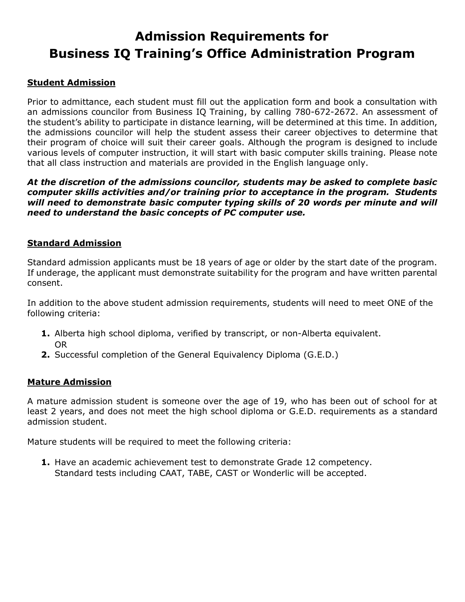## **Admission Requirements for Business IQ Training's Office Administration Program**

### **Student Admission**

Prior to admittance, each student must fill out the application form and book a consultation with an admissions councilor from Business IQ Training, by calling 780-672-2672. An assessment of the student's ability to participate in distance learning, will be determined at this time. In addition, the admissions councilor will help the student assess their career objectives to determine that their program of choice will suit their career goals. Although the program is designed to include various levels of computer instruction, it will start with basic computer skills training. Please note that all class instruction and materials are provided in the English language only.

*At the discretion of the admissions councilor, students may be asked to complete basic computer skills activities and/or training prior to acceptance in the program. Students will need to demonstrate basic computer typing skills of 20 words per minute and will need to understand the basic concepts of PC computer use.*

#### **Standard Admission**

Standard admission applicants must be 18 years of age or older by the start date of the program. If underage, the applicant must demonstrate suitability for the program and have written parental consent.

In addition to the above student admission requirements, students will need to meet ONE of the following criteria:

- **1.** Alberta high school diploma, verified by transcript, or non-Alberta equivalent. OR
- **2.** Successful completion of the General Equivalency Diploma (G.E.D.)

#### **Mature Admission**

A mature admission student is someone over the age of 19, who has been out of school for at least 2 years, and does not meet the high school diploma or G.E.D. requirements as a standard admission student.

Mature students will be required to meet the following criteria:

**1.** Have an academic achievement test to demonstrate Grade 12 competency. Standard tests including CAAT, TABE, CAST or Wonderlic will be accepted.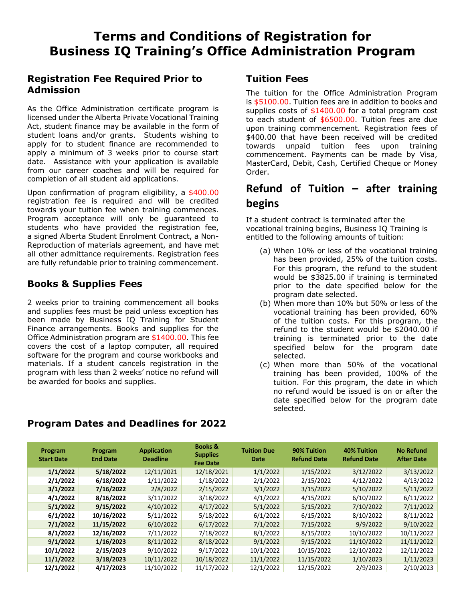## **Registration Fee Required Prior to Admission**

As the Office Administration certificate program is licensed under the Alberta Private Vocational Training Act, student finance may be available in the form of student loans and/or grants. Students wishing to apply for to student finance are recommended to apply a minimum of 3 weeks prior to course start date. Assistance with your application is available from our career coaches and will be required for completion of all student aid applications.

Upon confirmation of program eligibility, a \$400.00 registration fee is required and will be credited towards your tuition fee when training commences. Program acceptance will only be guaranteed to students who have provided the registration fee, a signed Alberta Student Enrolment Contract, a Non-Reproduction of materials agreement, and have met all other admittance requirements. Registration fees are fully refundable prior to training commencement.

## **Books & Supplies Fees**

2 weeks prior to training commencement all books and supplies fees must be paid unless exception has been made by Business IQ Training for Student Finance arrangements. Books and supplies for the Office Administration program are \$1400.00. This fee covers the cost of a laptop computer, all required software for the program and course workbooks and materials. If a student cancels registration in the program with less than 2 weeks' notice no refund will be awarded for books and supplies.

## **Tuition Fees**

The tuition for the Office Administration Program is \$5100.00. Tuition fees are in addition to books and supplies costs of  $$1400.00$  for a total program cost to each student of \$6500.00. Tuition fees are due upon training commencement. Registration fees of \$400.00 that have been received will be credited towards unpaid tuition fees upon training commencement. Payments can be made by Visa, MasterCard, Debit, Cash, Certified Cheque or Money Order.

## **Refund of Tuition – after training begins**

If a student contract is terminated after the vocational training begins, Business IQ Training is entitled to the following amounts of tuition:

- (a) When 10% or less of the vocational training has been provided, 25% of the tuition costs. For this program, the refund to the student would be \$3825.00 if training is terminated prior to the date specified below for the program date selected.
- (b) When more than 10% but 50% or less of the vocational training has been provided, 60% of the tuition costs. For this program, the refund to the student would be \$2040.00 if training is terminated prior to the date specified below for the program date selected.
- (c) When more than 50% of the vocational training has been provided, 100% of the tuition. For this program, the date in which no refund would be issued is on or after the date specified below for the program date selected.

| Program<br><b>Start Date</b> | Program<br><b>End Date</b> | <b>Application</b><br><b>Deadline</b> | <b>Books &amp;</b><br><b>Supplies</b><br><b>Fee Date</b> | <b>Tuition Due</b><br>Date | 90% Tuition<br><b>Refund Date</b> | <b>40% Tuition</b><br><b>Refund Date</b> | <b>No Refund</b><br><b>After Date</b> |
|------------------------------|----------------------------|---------------------------------------|----------------------------------------------------------|----------------------------|-----------------------------------|------------------------------------------|---------------------------------------|
| 1/1/2022                     | 5/18/2022                  | 12/11/2021                            | 12/18/2021                                               | 1/1/2022                   | 1/15/2022                         | 3/12/2022                                | 3/13/2022                             |
| 2/1/2022                     | 6/18/2022                  | 1/11/2022                             | 1/18/2022                                                | 2/1/2022                   | 2/15/2022                         | 4/12/2022                                | 4/13/2022                             |
| 3/1/2022                     | 7/16/2022                  | 2/8/2022                              | 2/15/2022                                                | 3/1/2022                   | 3/15/2022                         | 5/10/2022                                | 5/11/2022                             |
| 4/1/2022                     | 8/16/2022                  | 3/11/2022                             | 3/18/2022                                                | 4/1/2022                   | 4/15/2022                         | 6/10/2022                                | 6/11/2022                             |
| 5/1/2022                     | 9/15/2022                  | 4/10/2022                             | 4/17/2022                                                | 5/1/2022                   | 5/15/2022                         | 7/10/2022                                | 7/11/2022                             |
| 6/1/2022                     | 10/16/2022                 | 5/11/2022                             | 5/18/2022                                                | 6/1/2022                   | 6/15/2022                         | 8/10/2022                                | 8/11/2022                             |
| 7/1/2022                     | 11/15/2022                 | 6/10/2022                             | 6/17/2022                                                | 7/1/2022                   | 7/15/2022                         | 9/9/2022                                 | 9/10/2022                             |
| 8/1/2022                     | 12/16/2022                 | 7/11/2022                             | 7/18/2022                                                | 8/1/2022                   | 8/15/2022                         | 10/10/2022                               | 10/11/2022                            |
| 9/1/2022                     | 1/16/2023                  | 8/11/2022                             | 8/18/2022                                                | 9/1/2022                   | 9/15/2022                         | 11/10/2022                               | 11/11/2022                            |
| 10/1/2022                    | 2/15/2023                  | 9/10/2022                             | 9/17/2022                                                | 10/1/2022                  | 10/15/2022                        | 12/10/2022                               | 12/11/2022                            |
| 11/1/2022                    | 3/18/2023                  | 10/11/2022                            | 10/18/2022                                               | 11/1/2022                  | 11/15/2022                        | 1/10/2023                                | 1/11/2023                             |
| 12/1/2022                    | 4/17/2023                  | 11/10/2022                            | 11/17/2022                                               | 12/1/2022                  | 12/15/2022                        | 2/9/2023                                 | 2/10/2023                             |

## **Program Dates and Deadlines for 2022**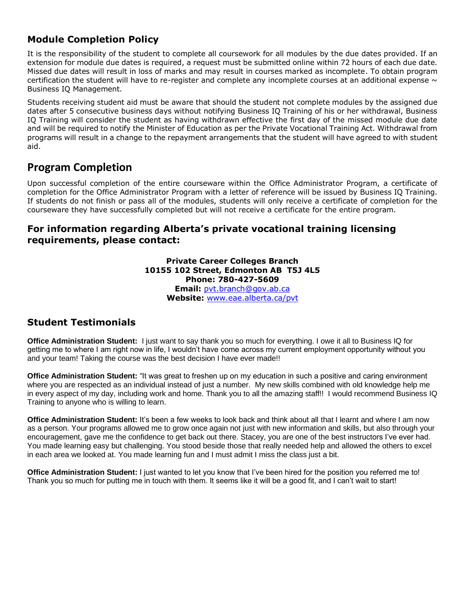## **Module Completion Policy**

It is the responsibility of the student to complete all coursework for all modules by the due dates provided. If an extension for module due dates is required, a request must be submitted online within 72 hours of each due date. Missed due dates will result in loss of marks and may result in courses marked as incomplete. To obtain program certification the student will have to re-register and complete any incomplete courses at an additional expense  $\sim$ Business IQ Management.

Students receiving student aid must be aware that should the student not complete modules by the assigned due dates after 5 consecutive business days without notifying Business IQ Training of his or her withdrawal, Business IQ Training will consider the student as having withdrawn effective the first day of the missed module due date and will be required to notify the Minister of Education as per the Private Vocational Training Act. Withdrawal from programs will result in a change to the repayment arrangements that the student will have agreed to with student aid.

## **Program Completion**

Upon successful completion of the entire courseware within the Office Administrator Program, a certificate of completion for the Office Administrator Program with a letter of reference will be issued by Business IQ Training. If students do not finish or pass all of the modules, students will only receive a certificate of completion for the courseware they have successfully completed but will not receive a certificate for the entire program.

## **For information regarding Alberta's private vocational training licensing requirements, please contact:**

**Private Career Colleges Branch 10155 102 Street, Edmonton AB T5J 4L5 Phone: 780-427-5609 Email:** [pvt.branch@gov.ab.ca](mailto:pvt.branch@gov.ab.ca) **Website:** [www.eae.alberta.ca/pvt](http://www.eae.alberta.ca/pvt)

## **Student Testimonials**

**Office Administration Student:** I just want to say thank you so much for everything. I owe it all to Business IQ for getting me to where I am right now in life, I wouldn't have come across my current employment opportunity without you and your team! Taking the course was the best decision I have ever made!!

**Office Administration Student:** "It was great to freshen up on my education in such a positive and caring environment where you are respected as an individual instead of just a number. My new skills combined with old knowledge help me in every aspect of my day, including work and home. Thank you to all the amazing staff!! I would recommend Business IQ Training to anyone who is willing to learn.

**Office Administration Student:** It's been a few weeks to look back and think about all that I learnt and where I am now as a person. Your programs allowed me to grow once again not just with new information and skills, but also through your encouragement, gave me the confidence to get back out there. Stacey, you are one of the best instructors I've ever had. You made learning easy but challenging. You stood beside those that really needed help and allowed the others to excel in each area we looked at. You made learning fun and I must admit I miss the class just a bit.

**Office Administration Student:** I just wanted to let you know that I've been hired for the position you referred me to! Thank you so much for putting me in touch with them. It seems like it will be a good fit, and I can't wait to start!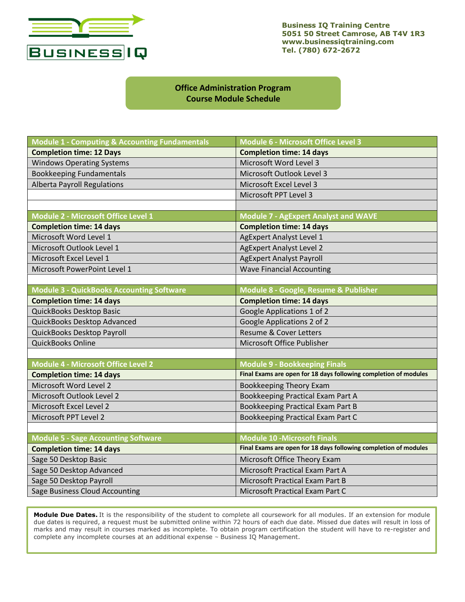

**Business IQ Training Centre 5051 50 Street Camrose, AB T4V 1R3 www.businessiqtraining.com Tel. (780) 672-2672**

#### **Office Administration Program Course Module Schedule**

| <b>Module 1 - Computing &amp; Accounting Fundamentals</b> | <b>Module 6 - Microsoft Office Level 3</b>                       |  |  |
|-----------------------------------------------------------|------------------------------------------------------------------|--|--|
| <b>Completion time: 12 Days</b>                           | <b>Completion time: 14 days</b>                                  |  |  |
| <b>Windows Operating Systems</b>                          | Microsoft Word Level 3                                           |  |  |
| <b>Bookkeeping Fundamentals</b>                           | Microsoft Outlook Level 3                                        |  |  |
| <b>Alberta Payroll Regulations</b>                        | Microsoft Excel Level 3                                          |  |  |
|                                                           | Microsoft PPT Level 3                                            |  |  |
|                                                           |                                                                  |  |  |
| Module 2 - Microsoft Office Level 1                       | <b>Module 7 - AgExpert Analyst and WAVE</b>                      |  |  |
| <b>Completion time: 14 days</b>                           | <b>Completion time: 14 days</b>                                  |  |  |
| Microsoft Word Level 1                                    | <b>AgExpert Analyst Level 1</b>                                  |  |  |
| Microsoft Outlook Level 1                                 | <b>AgExpert Analyst Level 2</b>                                  |  |  |
| Microsoft Excel Level 1                                   | <b>AgExpert Analyst Payroll</b>                                  |  |  |
| Microsoft PowerPoint Level 1                              | <b>Wave Financial Accounting</b>                                 |  |  |
|                                                           |                                                                  |  |  |
| <b>Module 3 - QuickBooks Accounting Software</b>          | Module 8 - Google, Resume & Publisher                            |  |  |
| <b>Completion time: 14 days</b>                           | <b>Completion time: 14 days</b>                                  |  |  |
| QuickBooks Desktop Basic                                  | Google Applications 1 of 2                                       |  |  |
| QuickBooks Desktop Advanced                               | Google Applications 2 of 2                                       |  |  |
| QuickBooks Desktop Payroll                                | <b>Resume &amp; Cover Letters</b>                                |  |  |
| QuickBooks Online                                         | Microsoft Office Publisher                                       |  |  |
|                                                           |                                                                  |  |  |
| <b>Module 4 - Microsoft Office Level 2</b>                | <b>Module 9 - Bookkeeping Finals</b>                             |  |  |
| <b>Completion time: 14 days</b>                           | Final Exams are open for 18 days following completion of modules |  |  |
| Microsoft Word Level 2                                    | <b>Bookkeeping Theory Exam</b>                                   |  |  |
| Microsoft Outlook Level 2                                 | Bookkeeping Practical Exam Part A                                |  |  |
| Microsoft Excel Level 2                                   | Bookkeeping Practical Exam Part B                                |  |  |
| Microsoft PPT Level 2                                     | Bookkeeping Practical Exam Part C                                |  |  |
|                                                           |                                                                  |  |  |
| <b>Module 5 - Sage Accounting Software</b>                | <b>Module 10 - Microsoft Finals</b>                              |  |  |
| <b>Completion time: 14 days</b>                           | Final Exams are open for 18 days following completion of modules |  |  |
| Sage 50 Desktop Basic                                     | Microsoft Office Theory Exam                                     |  |  |
| Sage 50 Desktop Advanced                                  | Microsoft Practical Exam Part A                                  |  |  |
| Sage 50 Desktop Payroll                                   | <b>Microsoft Practical Exam Part B</b>                           |  |  |
| Sage Business Cloud Accounting                            | Microsoft Practical Exam Part C                                  |  |  |

**Module Due Dates.** It is the responsibility of the student to complete all coursework for all modules. If an extension for module due dates is required, a request must be submitted online within 72 hours of each due date. Missed due dates will result in loss of marks and may result in courses marked as incomplete. To obtain program certification the student will have to re-register and complete any incomplete courses at an additional expense ~ Business IQ Management.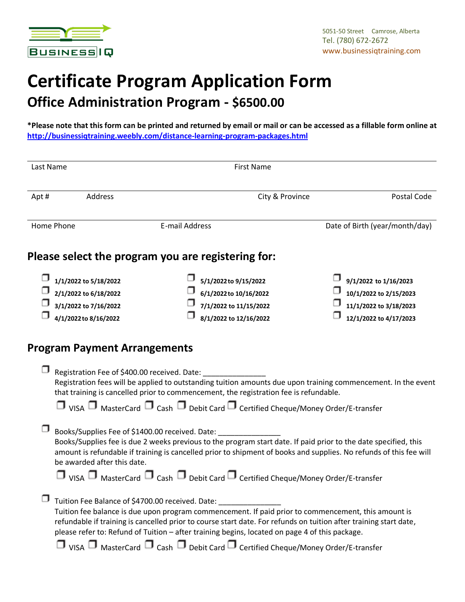

## **Certificate Program Application Form Office Administration Program - \$6500.00**

**\*Please note that this form can be printed and returned by email or mail or can be accessed as a fillable form online at <http://businessiqtraining.weebly.com/distance-learning-program-packages.html>**

| Last Name  |                                                                                                  | <b>First Name</b>                                                                                                                                                                                                                                                                                                                                                                                                                                                                                |                                               |                                                                                                     |
|------------|--------------------------------------------------------------------------------------------------|--------------------------------------------------------------------------------------------------------------------------------------------------------------------------------------------------------------------------------------------------------------------------------------------------------------------------------------------------------------------------------------------------------------------------------------------------------------------------------------------------|-----------------------------------------------|-----------------------------------------------------------------------------------------------------|
| Apt#       | Address                                                                                          | City & Province                                                                                                                                                                                                                                                                                                                                                                                                                                                                                  | Postal Code<br>Date of Birth (year/month/day) |                                                                                                     |
| Home Phone |                                                                                                  | E-mail Address                                                                                                                                                                                                                                                                                                                                                                                                                                                                                   |                                               |                                                                                                     |
|            |                                                                                                  | Please select the program you are registering for:                                                                                                                                                                                                                                                                                                                                                                                                                                               |                                               |                                                                                                     |
|            | 1/1/2022 to 5/18/2022<br>2/1/2022 to 6/18/2022<br>3/1/2022 to 7/16/2022<br>4/1/2022 to 8/16/2022 | 5/1/2022 to 9/15/2022<br>6/1/2022 to 10/16/2022<br>7/1/2022 to 11/15/2022<br>8/1/2022 to 12/16/2022                                                                                                                                                                                                                                                                                                                                                                                              |                                               | 9/1/2022 to 1/16/2023<br>10/1/2022 to 2/15/2023<br>11/1/2022 to 3/18/2023<br>12/1/2022 to 4/17/2023 |
|            | <b>Program Payment Arrangements</b>                                                              |                                                                                                                                                                                                                                                                                                                                                                                                                                                                                                  |                                               |                                                                                                     |
|            | Registration Fee of \$400.00 received. Date:                                                     | Registration fees will be applied to outstanding tuition amounts due upon training commencement. In the event<br>that training is cancelled prior to commencement, the registration fee is refundable.<br>$\Box$ VISA $\Box$ MasterCard $\Box$ Cash $\Box$ Debit Card $\Box$ Certified Cheque/Money Order/E-transfer                                                                                                                                                                             |                                               |                                                                                                     |
|            | be awarded after this date.                                                                      | Books/Supplies Fee of \$1400.00 received. Date:<br>Books/Supplies fee is due 2 weeks previous to the program start date. If paid prior to the date specified, this<br>amount is refundable if training is cancelled prior to shipment of books and supplies. No refunds of this fee will<br>$\Box$ VISA $\Box$ MasterCard $\Box$ Cash $\Box$ Debit Card $\Box$ Certified Cheque/Money Order/E-transfer                                                                                           |                                               |                                                                                                     |
|            |                                                                                                  | Tuition Fee Balance of \$4700.00 received. Date: ___<br>Tuition fee balance is due upon program commencement. If paid prior to commencement, this amount is<br>refundable if training is cancelled prior to course start date. For refunds on tuition after training start date,<br>please refer to: Refund of Tuition - after training begins, located on page 4 of this package.<br>$\Box$ VISA $\Box$ MasterCard $\Box$ Cash $\Box$ Debit Card $\Box$ Certified Cheque/Money Order/E-transfer |                                               |                                                                                                     |